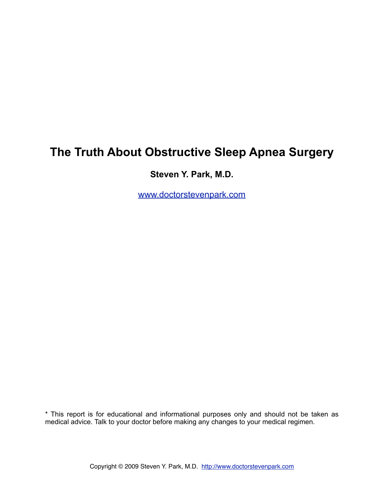# **The Truth About Obstructive Sleep Apnea Surgery**

**Steven Y. Park, M.D.** 

[www.doctorstevenpark.com](http://www.doctorstevenpark.com)

\* This report is for educational and informational purposes only and should not be taken as medical advice. Talk to your doctor before making any changes to your medical regimen.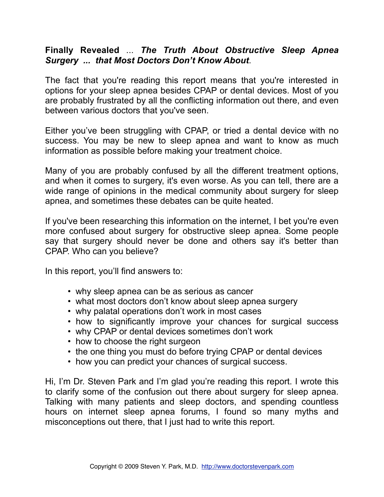## **Finally Revealed** ... *The Truth About Obstructive Sleep Apnea Surgery ... that Most Doctors Don't Know About*.

The fact that you're reading this report means that you're interested in options for your sleep apnea besides CPAP or dental devices. Most of you are probably frustrated by all the conflicting information out there, and even between various doctors that you've seen.

Either you've been struggling with CPAP, or tried a dental device with no success. You may be new to sleep apnea and want to know as much information as possible before making your treatment choice.

Many of you are probably confused by all the different treatment options, and when it comes to surgery, it's even worse. As you can tell, there are a wide range of opinions in the medical community about surgery for sleep apnea, and sometimes these debates can be quite heated.

If you've been researching this information on the internet, I bet you're even more confused about surgery for obstructive sleep apnea. Some people say that surgery should never be done and others say it's better than CPAP. Who can you believe?

In this report, you'll find answers to:

- why sleep apnea can be as serious as cancer
- what most doctors don't know about sleep apnea surgery
- why palatal operations don't work in most cases
- how to significantly improve your chances for surgical success
- why CPAP or dental devices sometimes don't work
- how to choose the right surgeon
- the one thing you must do before trying CPAP or dental devices
- how you can predict your chances of surgical success.

Hi, I'm Dr. Steven Park and I'm glad you're reading this report. I wrote this to clarify some of the confusion out there about surgery for sleep apnea. Talking with many patients and sleep doctors, and spending countless hours on internet sleep apnea forums, I found so many myths and misconceptions out there, that I just had to write this report.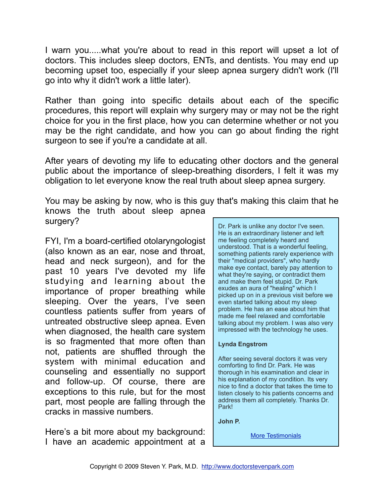I warn you.....what you're about to read in this report will upset a lot of doctors. This includes sleep doctors, ENTs, and dentists. You may end up becoming upset too, especially if your sleep apnea surgery didn't work (I'll go into why it didn't work a little later).

Rather than going into specific details about each of the specific procedures, this report will explain why surgery may or may not be the right choice for you in the first place, how you can determine whether or not you may be the right candidate, and how you can go about finding the right surgeon to see if you're a candidate at all.

After years of devoting my life to educating other doctors and the general public about the importance of sleep-breathing disorders, I felt it was my obligation to let everyone know the real truth about sleep apnea surgery.

You may be asking by now, who is this guy that's making this claim that he knows the truth about sleep apnea surgery?

FYI, I'm a board-certified otolaryngologist (also known as an ear, nose and throat, head and neck surgeon), and for the past 10 years I've devoted my life studying and learning about the importance of proper breathing while sleeping. Over the years, I've seen countless patients suffer from years of untreated obstructive sleep apnea. Even when diagnosed, the health care system is so fragmented that more often than not, patients are shuffled through the system with minimal education and counseling and essentially no support and follow-up. Of course, there are exceptions to this rule, but for the most part, most people are falling through the cracks in massive numbers.

Here's a bit more about my background: I have an academic appointment at a

Dr. Park is unlike any doctor I've seen. He is an extraordinary listener and left me feeling completely heard and understood. That is a wonderful feeling, something patients rarely experience with their "medical providers", who hardly make eye contact, barely pay attention to what they're saying, or contradict them and make them feel stupid. Dr. Park exudes an aura of "healing" which I picked up on in a previous visit before we even started talking about my sleep problem. He has an ease about him that made me feel relaxed and comfortable talking about my problem. I was also very impressed with the technology he uses.

#### **Lynda Engstrom**

After seeing several doctors it was very comforting to find Dr. Park. He was thorough in his examination and clear in his explanation of my condition. Its very nice to find a doctor that takes the time to listen closely to his patients concerns and address them all completely. Thanks Dr. Park!

**John P.**

**[More Testimonials](http://doctorstevenpark.com/about/testimonials)**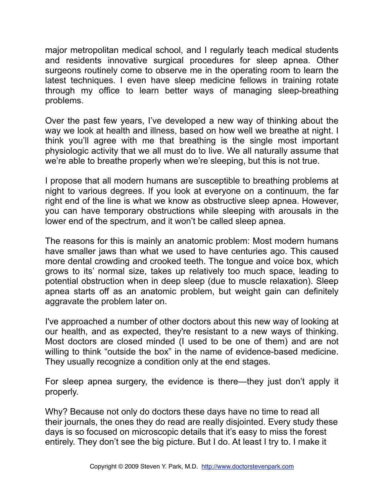major metropolitan medical school, and I regularly teach medical students and residents innovative surgical procedures for sleep apnea. Other surgeons routinely come to observe me in the operating room to learn the latest techniques. I even have sleep medicine fellows in training rotate through my office to learn better ways of managing sleep-breathing problems.

Over the past few years, I've developed a new way of thinking about the way we look at health and illness, based on how well we breathe at night. I think you'll agree with me that breathing is the single most important physiologic activity that we all must do to live. We all naturally assume that we're able to breathe properly when we're sleeping, but this is not true.

I propose that all modern humans are susceptible to breathing problems at night to various degrees. If you look at everyone on a continuum, the far right end of the line is what we know as obstructive sleep apnea. However, you can have temporary obstructions while sleeping with arousals in the lower end of the spectrum, and it won't be called sleep apnea.

The reasons for this is mainly an anatomic problem: Most modern humans have smaller jaws than what we used to have centuries ago. This caused more dental crowding and crooked teeth. The tongue and voice box, which grows to its' normal size, takes up relatively too much space, leading to potential obstruction when in deep sleep (due to muscle relaxation). Sleep apnea starts off as an anatomic problem, but weight gain can definitely aggravate the problem later on.

I've approached a number of other doctors about this new way of looking at our health, and as expected, they're resistant to a new ways of thinking. Most doctors are closed minded (I used to be one of them) and are not willing to think "outside the box" in the name of evidence-based medicine. They usually recognize a condition only at the end stages.

For sleep apnea surgery, the evidence is there—they just don't apply it properly.

Why? Because not only do doctors these days have no time to read all their journals, the ones they do read are really disjointed. Every study these days is so focused on microscopic details that it's easy to miss the forest entirely. They don't see the big picture. But I do. At least I try to. I make it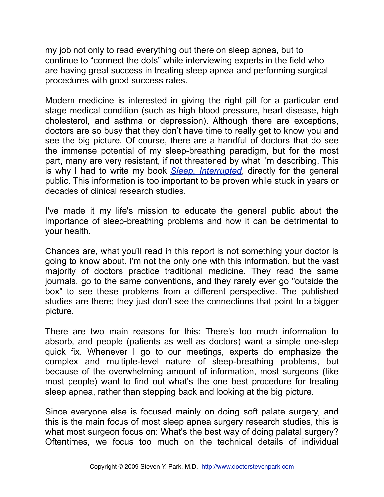my job not only to read everything out there on sleep apnea, but to continue to "connect the dots" while interviewing experts in the field who are having great success in treating sleep apnea and performing surgical procedures with good success rates.

Modern medicine is interested in giving the right pill for a particular end stage medical condition (such as high blood pressure, heart disease, high cholesterol, and asthma or depression). Although there are exceptions, doctors are so busy that they don't have time to really get to know you and see the big picture. Of course, there are a handful of doctors that do see the immense potential of my sleep-breathing paradigm, but for the most part, many are very resistant, if not threatened by what I'm describing. This is why I had to write my book *[Sleep, Interrupted](http://www.sleepinterrupted.com)*, directly for the general public. This information is too important to be proven while stuck in years or decades of clinical research studies.

I've made it my life's mission to educate the general public about the importance of sleep-breathing problems and how it can be detrimental to your health.

Chances are, what you'll read in this report is not something your doctor is going to know about. I'm not the only one with this information, but the vast majority of doctors practice traditional medicine. They read the same journals, go to the same conventions, and they rarely ever go "outside the box" to see these problems from a different perspective. The published studies are there; they just don't see the connections that point to a bigger picture.

There are two main reasons for this: There's too much information to absorb, and people (patients as well as doctors) want a simple one-step quick fix. Whenever I go to our meetings, experts do emphasize the complex and multiple-level nature of sleep-breathing problems, but because of the overwhelming amount of information, most surgeons (like most people) want to find out what's the one best procedure for treating sleep apnea, rather than stepping back and looking at the big picture.

Since everyone else is focused mainly on doing soft palate surgery, and this is the main focus of most sleep apnea surgery research studies, this is what most surgeon focus on: What's the best way of doing palatal surgery? Oftentimes, we focus too much on the technical details of individual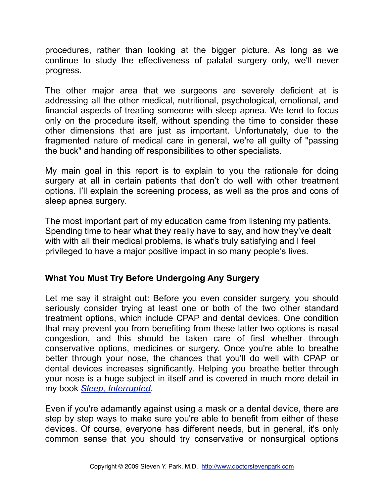procedures, rather than looking at the bigger picture. As long as we continue to study the effectiveness of palatal surgery only, we'll never progress.

The other major area that we surgeons are severely deficient at is addressing all the other medical, nutritional, psychological, emotional, and financial aspects of treating someone with sleep apnea. We tend to focus only on the procedure itself, without spending the time to consider these other dimensions that are just as important. Unfortunately, due to the fragmented nature of medical care in general, we're all guilty of "passing the buck" and handing off responsibilities to other specialists.

My main goal in this report is to explain to you the rationale for doing surgery at all in certain patients that don't do well with other treatment options. I'll explain the screening process, as well as the pros and cons of sleep apnea surgery.

The most important part of my education came from listening my patients. Spending time to hear what they really have to say, and how they've dealt with with all their medical problems, is what's truly satisfying and I feel privileged to have a major positive impact in so many people's lives.

## **What You Must Try Before Undergoing Any Surgery**

Let me say it straight out: Before you even consider surgery, you should seriously consider trying at least one or both of the two other standard treatment options, which include CPAP and dental devices. One condition that may prevent you from benefiting from these latter two options is nasal congestion, and this should be taken care of first whether through conservative options, medicines or surgery. Once you're able to breathe better through your nose, the chances that you'll do well with CPAP or dental devices increases significantly. Helping you breathe better through your nose is a huge subject in itself and is covered in much more detail in my book *[Sleep, Interrupted](http://www.sleepinterrupted.com)*.

Even if you're adamantly against using a mask or a dental device, there are step by step ways to make sure you're able to benefit from either of these devices. Of course, everyone has different needs, but in general, it's only common sense that you should try conservative or nonsurgical options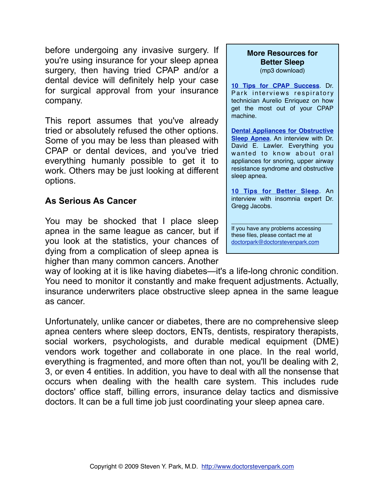before undergoing any invasive surgery. If you're using insurance for your sleep apnea surgery, then having tried CPAP and/or a dental device will definitely help your case for surgical approval from your insurance company.

This report assumes that you've already tried or absolutely refused the other options. Some of you may be less than pleased with CPAP or dental devices, and you've tried everything humanly possible to get it to work. Others may be just looking at different options.

## **As Serious As Cancer**

You may be shocked that I place sleep apnea in the same league as cancer, but if you look at the statistics, your chances of dying from a complication of sleep apnea is higher than many common cancers. Another

way of looking at it is like having diabetes—it's a life-long chronic condition. You need to monitor it constantly and make frequent adjustments. Actually, insurance underwriters place obstructive sleep apnea in the same league as cancer.

Unfortunately, unlike cancer or diabetes, there are no comprehensive sleep apnea centers where sleep doctors, ENTs, dentists, respiratory therapists, social workers, psychologists, and durable medical equipment (DME) vendors work together and collaborate in one place. In the real world, everything is fragmented, and more often than not, you'll be dealing with 2, 3, or even 4 entities. In addition, you have to deal with all the nonsense that occurs when dealing with the health care system. This includes rude doctors' office staff, billing errors, insurance delay tactics and dismissive doctors. It can be a full time job just coordinating your sleep apnea care.

## **More Resources for Better Sleep**

(mp3 download)

**[10 Tips for CPAP Success](http://doctorstevenpark.com/10-tips-for-cpap-success)**. Dr. Park interviews respiratory technician Aurelio Enriquez on how get the most out of your CPAP machine.

**[Dental Appliances for Obstructive](http://doctorstevenpark.com/the-abcs-of-oral-appliance-therapy) [Sleep Apnea](http://doctorstevenpark.com/the-abcs-of-oral-appliance-therapy)**. An interview with Dr. David E. Lawler. Everything you wanted to know about oral appliances for snoring, upper airway resistance syndrome and obstructive sleep apnea.

**[10 Tips for Better Sleep](http://doctorstevenpark.com/health-products/audio)**. An interview with insomnia expert Dr. Gregg Jacobs.

\_\_\_\_\_\_\_\_\_\_\_\_\_\_\_\_\_\_\_\_\_\_\_\_\_\_\_\_\_

If you have any problems accessing these files, please contact me at [doctorpark@doctorstevenpark.com](mailto:dotorpark@doctorstevenpark.com)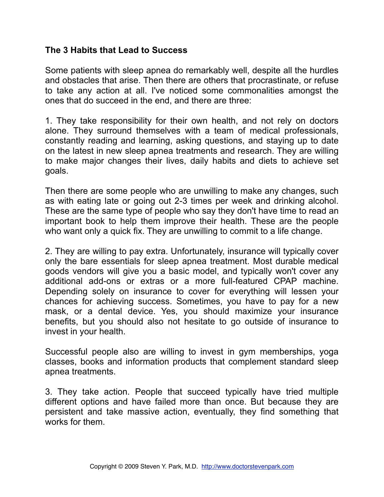### **The 3 Habits that Lead to Success**

Some patients with sleep apnea do remarkably well, despite all the hurdles and obstacles that arise. Then there are others that procrastinate, or refuse to take any action at all. I've noticed some commonalities amongst the ones that do succeed in the end, and there are three:

1. They take responsibility for their own health, and not rely on doctors alone. They surround themselves with a team of medical professionals, constantly reading and learning, asking questions, and staying up to date on the latest in new sleep apnea treatments and research. They are willing to make major changes their lives, daily habits and diets to achieve set goals.

Then there are some people who are unwilling to make any changes, such as with eating late or going out 2-3 times per week and drinking alcohol. These are the same type of people who say they don't have time to read an important book to help them improve their health. These are the people who want only a quick fix. They are unwilling to commit to a life change.

2. They are willing to pay extra. Unfortunately, insurance will typically cover only the bare essentials for sleep apnea treatment. Most durable medical goods vendors will give you a basic model, and typically won't cover any additional add-ons or extras or a more full-featured CPAP machine. Depending solely on insurance to cover for everything will lessen your chances for achieving success. Sometimes, you have to pay for a new mask, or a dental device. Yes, you should maximize your insurance benefits, but you should also not hesitate to go outside of insurance to invest in your health.

Successful people also are willing to invest in gym memberships, yoga classes, books and information products that complement standard sleep apnea treatments.

3. They take action. People that succeed typically have tried multiple different options and have failed more than once. But because they are persistent and take massive action, eventually, they find something that works for them.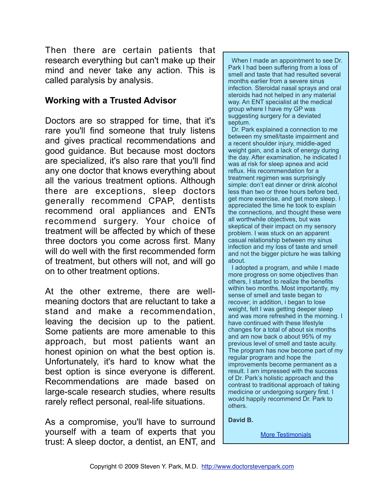Then there are certain patients that research everything but can't make up their mind and never take any action. This is called paralysis by analysis.

### **Working with a Trusted Advisor**

Doctors are so strapped for time, that it's rare you'll find someone that truly listens and gives practical recommendations and good guidance. But because most doctors are specialized, it's also rare that you'll find any one doctor that knows everything about all the various treatment options. Although there are exceptions, sleep doctors generally recommend CPAP, dentists recommend oral appliances and ENTs recommend surgery. Your choice of treatment will be affected by which of these three doctors you come across first. Many will do well with the first recommended form of treatment, but others will not, and will go on to other treatment options.

At the other extreme, there are wellmeaning doctors that are reluctant to take a stand and make a recommendation, leaving the decision up to the patient. Some patients are more amenable to this approach, but most patients want an honest opinion on what the best option is. Unfortunately, it's hard to know what the best option is since everyone is different. Recommendations are made based on large-scale research studies, where results rarely reflect personal, real-life situations.

As a compromise, you'll have to surround yourself with a team of experts that you trust: A sleep doctor, a dentist, an ENT, and

 When I made an appointment to see Dr. Park I had been suffering from a loss of smell and taste that had resulted several months earlier from a severe sinus infection. Steroidal nasal sprays and oral steroids had not helped in any material way. An ENT specialist at the medical group where I have my GP was suggesting surgery for a deviated septum.

 Dr. Park explained a connection to me between my smell/taste impairment and a recent shoulder injury, middle-aged weight gain, and a lack of energy during the day. After examination, he indicated I was at risk for sleep apnea and acid reflux. His recommendation for a treatment regimen was surprisingly simple: don't eat dinner or drink alcohol less than two or three hours before bed, get more exercise, and get more sleep. I appreciated the time he took to explain the connections, and thought these were all worthwhile objectives, but was skeptical of their impact on my sensory problem. I was stuck on an apparent casual relationship between my sinus infection and my loss of taste and smell and not the bigger picture he was talking about.

 I adopted a program, and while I made more progress on some objectives than others, I started to realize the benefits within two months. Most importantly, my sense of smell and taste began to recover; in addition, i began to lose weight, felt I was getting deeper sleep and was more refreshed in the morning. I have continued with these lifestyle changes for a total of about six months and am now back o about 95% of my previous level of smell and taste acuity. The program has now become part of my regular program and hope the improvements become permanent as a result. I am impressed with the success of Dr. Park's holistic approach and the contrast to traditional approach of taking medicine or undergoing surgery first. I would happily recommend Dr. Park to others.

**David B.**

**[More Testimonials](http://doctorstevenpark.com/about/testimonials)**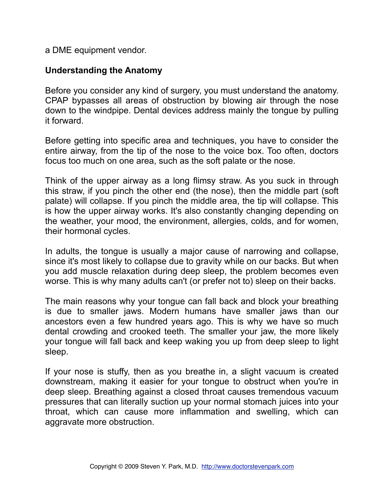a DME equipment vendor.

### **Understanding the Anatomy**

Before you consider any kind of surgery, you must understand the anatomy. CPAP bypasses all areas of obstruction by blowing air through the nose down to the windpipe. Dental devices address mainly the tongue by pulling it forward.

Before getting into specific area and techniques, you have to consider the entire airway, from the tip of the nose to the voice box. Too often, doctors focus too much on one area, such as the soft palate or the nose.

Think of the upper airway as a long flimsy straw. As you suck in through this straw, if you pinch the other end (the nose), then the middle part (soft palate) will collapse. If you pinch the middle area, the tip will collapse. This is how the upper airway works. It's also constantly changing depending on the weather, your mood, the environment, allergies, colds, and for women, their hormonal cycles.

In adults, the tongue is usually a major cause of narrowing and collapse, since it's most likely to collapse due to gravity while on our backs. But when you add muscle relaxation during deep sleep, the problem becomes even worse. This is why many adults can't (or prefer not to) sleep on their backs.

The main reasons why your tongue can fall back and block your breathing is due to smaller jaws. Modern humans have smaller jaws than our ancestors even a few hundred years ago. This is why we have so much dental crowding and crooked teeth. The smaller your jaw, the more likely your tongue will fall back and keep waking you up from deep sleep to light sleep.

If your nose is stuffy, then as you breathe in, a slight vacuum is created downstream, making it easier for your tongue to obstruct when you're in deep sleep. Breathing against a closed throat causes tremendous vacuum pressures that can literally suction up your normal stomach juices into your throat, which can cause more inflammation and swelling, which can aggravate more obstruction.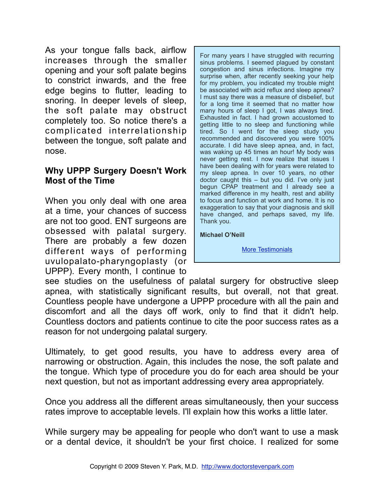As your tongue falls back, airflow increases through the smaller opening and your soft palate begins to constrict inwards, and the free edge begins to flutter, leading to snoring. In deeper levels of sleep, the soft palate may obstruct completely too. So notice there's a complicated interrelationship between the tongue, soft palate and nose.

### **Why UPPP Surgery Doesn't Work Most of the Time**

When you only deal with one area at a time, your chances of success are not too good. ENT surgeons are obsessed with palatal surgery. There are probably a few dozen different ways of performing uvulopalato-pharyngoplasty (or UPPP). Every month, I continue to

For many years I have struggled with recurring sinus problems. I seemed plagued by constant congestion and sinus infections. Imagine my surprise when, after recently seeking your help for my problem, you indicated my trouble might be associated with acid reflux and sleep apnea? I must say there was a measure of disbelief, but for a long time it seemed that no matter how many hours of sleep I got, I was always tired. Exhausted in fact. I had grown accustomed to getting little to no sleep and functioning while tired. So I went for the sleep study you recommended and discovered you were 100% accurate. I did have sleep apnea, and, in fact, was waking up 45 times an hour! My body was never getting rest. I now realize that issues I have been dealing with for years were related to my sleep apnea. In over 10 years, no other doctor caught this – but you did. I've only just begun CPAP treatment and I already see a marked difference in my health, rest and ability to focus and function at work and home. It is no exaggeration to say that your diagnosis and skill have changed, and perhaps saved, my life. Thank you.

**Michael O'Neill**

[More Testimonials](http://doctorstevenpark.com/about/testimonials)

see studies on the usefulness of palatal surgery for obstructive sleep apnea, with statistically significant results, but overall, not that great. Countless people have undergone a UPPP procedure with all the pain and discomfort and all the days off work, only to find that it didn't help. Countless doctors and patients continue to cite the poor success rates as a reason for not undergoing palatal surgery.

Ultimately, to get good results, you have to address every area of narrowing or obstruction. Again, this includes the nose, the soft palate and the tongue. Which type of procedure you do for each area should be your next question, but not as important addressing every area appropriately.

Once you address all the different areas simultaneously, then your success rates improve to acceptable levels. I'll explain how this works a little later.

While surgery may be appealing for people who don't want to use a mask or a dental device, it shouldn't be your first choice. I realized for some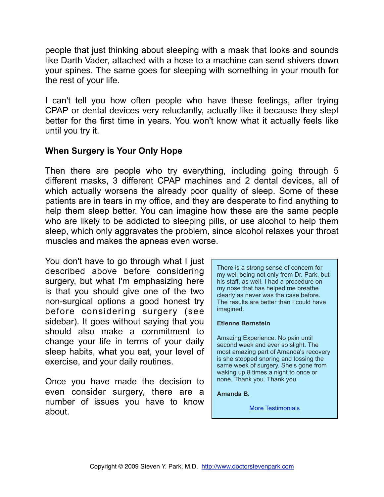people that just thinking about sleeping with a mask that looks and sounds like Darth Vader, attached with a hose to a machine can send shivers down your spines. The same goes for sleeping with something in your mouth for the rest of your life.

I can't tell you how often people who have these feelings, after trying CPAP or dental devices very reluctantly, actually like it because they slept better for the first time in years. You won't know what it actually feels like until you try it.

## **When Surgery is Your Only Hope**

Then there are people who try everything, including going through 5 different masks, 3 different CPAP machines and 2 dental devices, all of which actually worsens the already poor quality of sleep. Some of these patients are in tears in my office, and they are desperate to find anything to help them sleep better. You can imagine how these are the same people who are likely to be addicted to sleeping pills, or use alcohol to help them sleep, which only aggravates the problem, since alcohol relaxes your throat muscles and makes the apneas even worse.

You don't have to go through what I just described above before considering surgery, but what I'm emphasizing here is that you should give one of the two non-surgical options a good honest try before considering surgery (see sidebar). It goes without saying that you should also make a commitment to change your life in terms of your daily sleep habits, what you eat, your level of exercise, and your daily routines.

Once you have made the decision to even consider surgery, there are a number of issues you have to know about.

There is a strong sense of concern for my well being not only from Dr. Park, but his staff, as well. I had a procedure on my nose that has helped me breathe clearly as never was the case before. The results are better than I could have imagined.

#### **Etienne Bernstein**

Amazing Experience. No pain until second week and ever so slight. The most amazing part of Amanda's recovery is she stopped snoring and tossing the same week of surgery. She's gone from waking up 8 times a night to once or none. Thank you. Thank you.

**Amanda B.**

[More Testimonials](http://doctorstevenpark.com/about/testimonials)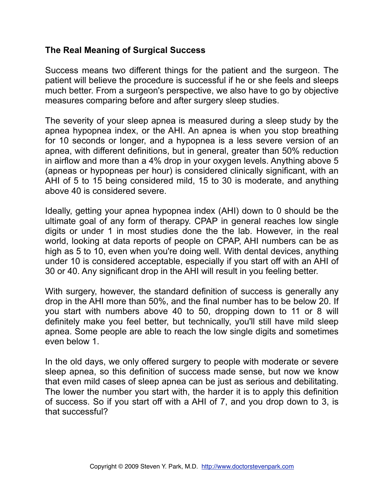### **The Real Meaning of Surgical Success**

Success means two different things for the patient and the surgeon. The patient will believe the procedure is successful if he or she feels and sleeps much better. From a surgeon's perspective, we also have to go by objective measures comparing before and after surgery sleep studies.

The severity of your sleep apnea is measured during a sleep study by the apnea hypopnea index, or the AHI. An apnea is when you stop breathing for 10 seconds or longer, and a hypopnea is a less severe version of an apnea, with different definitions, but in general, greater than 50% reduction in airflow and more than a 4% drop in your oxygen levels. Anything above 5 (apneas or hypopneas per hour) is considered clinically significant, with an AHI of 5 to 15 being considered mild, 15 to 30 is moderate, and anything above 40 is considered severe.

Ideally, getting your apnea hypopnea index (AHI) down to 0 should be the ultimate goal of any form of therapy. CPAP in general reaches low single digits or under 1 in most studies done the the lab. However, in the real world, looking at data reports of people on CPAP, AHI numbers can be as high as 5 to 10, even when you're doing well. With dental devices, anything under 10 is considered acceptable, especially if you start off with an AHI of 30 or 40. Any significant drop in the AHI will result in you feeling better.

With surgery, however, the standard definition of success is generally any drop in the AHI more than 50%, and the final number has to be below 20. If you start with numbers above 40 to 50, dropping down to 11 or 8 will definitely make you feel better, but technically, you'll still have mild sleep apnea. Some people are able to reach the low single digits and sometimes even below 1.

In the old days, we only offered surgery to people with moderate or severe sleep apnea, so this definition of success made sense, but now we know that even mild cases of sleep apnea can be just as serious and debilitating. The lower the number you start with, the harder it is to apply this definition of success. So if you start off with a AHI of 7, and you drop down to 3, is that successful?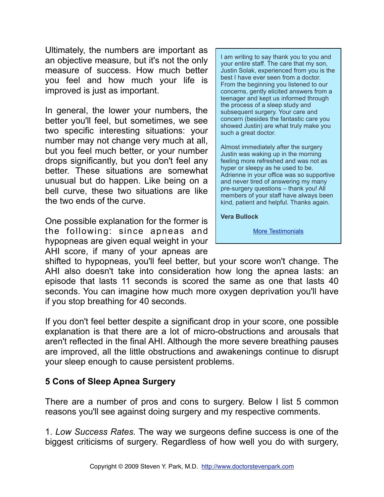Ultimately, the numbers are important as an objective measure, but it's not the only measure of success. How much better you feel and how much your life is improved is just as important.

In general, the lower your numbers, the better you'll feel, but sometimes, we see two specific interesting situations: your number may not change very much at all, but you feel much better, or your number drops significantly, but you don't feel any better. These situations are somewhat unusual but do happen. Like being on a bell curve, these two situations are like the two ends of the curve.

One possible explanation for the former is the following: since apneas and hypopneas are given equal weight in your AHI score, if many of your apneas are

I am writing to say thank you to you and your entire staff. The care that my son, Justin Solak, experienced from you is the best I have ever seen from a doctor. From the beginning you listened to our concerns, gently elicited answers from a teenager and kept us informed through the process of a sleep study and subsequent surgery. Your care and concern (besides the fantastic care you showed Justin) are what truly make you such a great doctor.

Almost immediately after the surgery Justin was waking up in the morning feeling more refreshed and was not as hyper or sleepy as he used to be. Adrienne in your office was so supportive and never tired of answering my many pre-surgery questions – thank you! All members of your staff have always been kind, patient and helpful. Thanks again.

**Vera Bullock**

[More Testimonials](http://doctorstevenpark.com/about/testimonials)

shifted to hypopneas, you'll feel better, but your score won't change. The AHI also doesn't take into consideration how long the apnea lasts: an episode that lasts 11 seconds is scored the same as one that lasts 40 seconds. You can imagine how much more oxygen deprivation you'll have if you stop breathing for 40 seconds.

If you don't feel better despite a significant drop in your score, one possible explanation is that there are a lot of micro-obstructions and arousals that aren't reflected in the final AHI. Although the more severe breathing pauses are improved, all the little obstructions and awakenings continue to disrupt your sleep enough to cause persistent problems.

### **5 Cons of Sleep Apnea Surgery**

There are a number of pros and cons to surgery. Below I list 5 common reasons you'll see against doing surgery and my respective comments.

1. *Low Success Rates.* The way we surgeons define success is one of the biggest criticisms of surgery. Regardless of how well you do with surgery,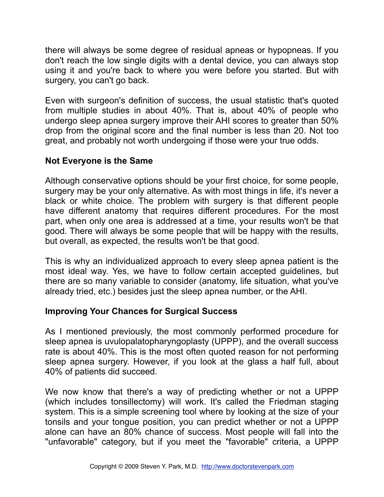there will always be some degree of residual apneas or hypopneas. If you don't reach the low single digits with a dental device, you can always stop using it and you're back to where you were before you started. But with surgery, you can't go back.

Even with surgeon's definition of success, the usual statistic that's quoted from multiple studies in about 40%. That is, about 40% of people who undergo sleep apnea surgery improve their AHI scores to greater than 50% drop from the original score and the final number is less than 20. Not too great, and probably not worth undergoing if those were your true odds.

## **Not Everyone is the Same**

Although conservative options should be your first choice, for some people, surgery may be your only alternative. As with most things in life, it's never a black or white choice. The problem with surgery is that different people have different anatomy that requires different procedures. For the most part, when only one area is addressed at a time, your results won't be that good. There will always be some people that will be happy with the results, but overall, as expected, the results won't be that good.

This is why an individualized approach to every sleep apnea patient is the most ideal way. Yes, we have to follow certain accepted guidelines, but there are so many variable to consider (anatomy, life situation, what you've already tried, etc.) besides just the sleep apnea number, or the AHI.

### **Improving Your Chances for Surgical Success**

As I mentioned previously, the most commonly performed procedure for sleep apnea is uvulopalatopharyngoplasty (UPPP), and the overall success rate is about 40%. This is the most often quoted reason for not performing sleep apnea surgery. However, if you look at the glass a half full, about 40% of patients did succeed.

We now know that there's a way of predicting whether or not a UPPP (which includes tonsillectomy) will work. It's called the Friedman staging system. This is a simple screening tool where by looking at the size of your tonsils and your tongue position, you can predict whether or not a UPPP alone can have an 80% chance of success. Most people will fall into the "unfavorable" category, but if you meet the "favorable" criteria, a UPPP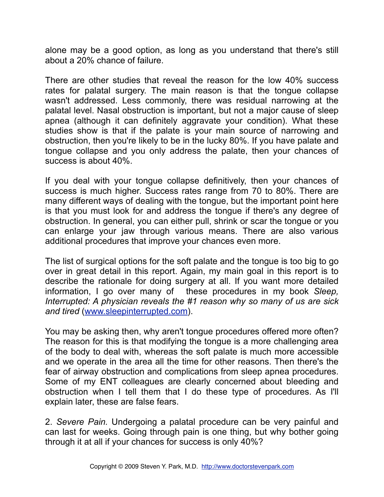alone may be a good option, as long as you understand that there's still about a 20% chance of failure.

There are other studies that reveal the reason for the low 40% success rates for palatal surgery. The main reason is that the tongue collapse wasn't addressed. Less commonly, there was residual narrowing at the palatal level. Nasal obstruction is important, but not a major cause of sleep apnea (although it can definitely aggravate your condition). What these studies show is that if the palate is your main source of narrowing and obstruction, then you're likely to be in the lucky 80%. If you have palate and tongue collapse and you only address the palate, then your chances of success is about 40%.

If you deal with your tongue collapse definitively, then your chances of success is much higher. Success rates range from 70 to 80%. There are many different ways of dealing with the tongue, but the important point here is that you must look for and address the tongue if there's any degree of obstruction. In general, you can either pull, shrink or scar the tongue or you can enlarge your jaw through various means. There are also various additional procedures that improve your chances even more.

The list of surgical options for the soft palate and the tongue is too big to go over in great detail in this report. Again, my main goal in this report is to describe the rationale for doing surgery at all. If you want more detailed information, I go over many of these procedures in my book *Sleep, Interrupted: A physician reveals the #1 reason why so many of us are sick and tired* [\(www.sleepinterrupted.com](http://www.sleepinterrupted.com)).

You may be asking then, why aren't tongue procedures offered more often? The reason for this is that modifying the tongue is a more challenging area of the body to deal with, whereas the soft palate is much more accessible and we operate in the area all the time for other reasons. Then there's the fear of airway obstruction and complications from sleep apnea procedures. Some of my ENT colleagues are clearly concerned about bleeding and obstruction when I tell them that I do these type of procedures. As I'll explain later, these are false fears.

2. *Severe Pain.* Undergoing a palatal procedure can be very painful and can last for weeks. Going through pain is one thing, but why bother going through it at all if your chances for success is only 40%?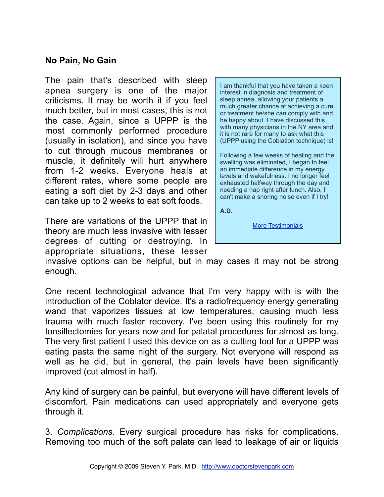### **No Pain, No Gain**

The pain that's described with sleep apnea surgery is one of the major criticisms. It may be worth it if you feel much better, but in most cases, this is not the case. Again, since a UPPP is the most commonly performed procedure (usually in isolation), and since you have to cut through mucous membranes or muscle, it definitely will hurt anywhere from 1-2 weeks. Everyone heals at different rates, where some people are eating a soft diet by 2-3 days and other can take up to 2 weeks to eat soft foods.

There are variations of the UPPP that in theory are much less invasive with lesser degrees of cutting or destroying. In appropriate situations, these lesser

I am thankful that you have taken a keen interest in diagnosis and treatment of sleep apnea, allowing your patients a much greater chance at achieving a cure or treatment he/she can comply with and be happy about. I have discussed this with many physicians in the NY area and it is not rare for many to ask what this (UPPP using the Coblation technique) is!

Following a few weeks of healing and the swelling was eliminated, I began to feel an immediate difference in my energy levels and wakefulness. I no longer feel exhausted halfway through the day and needing a nap right after lunch. Also, I can't make a snoring noise even if I try!

**A.D.**

[More Testimonials](http://doctorstevenpark.com/about/testimonials)

invasive options can be helpful, but in may cases it may not be strong enough.

One recent technological advance that I'm very happy with is with the introduction of the Coblator device. It's a radiofrequency energy generating wand that vaporizes tissues at low temperatures, causing much less trauma with much faster recovery. I've been using this routinely for my tonsillectomies for years now and for palatal procedures for almost as long. The very first patient I used this device on as a cutting tool for a UPPP was eating pasta the same night of the surgery. Not everyone will respond as well as he did, but in general, the pain levels have been significantly improved (cut almost in half).

Any kind of surgery can be painful, but everyone will have different levels of discomfort. Pain medications can used appropriately and everyone gets through it.

3. *Complications.* Every surgical procedure has risks for complications. Removing too much of the soft palate can lead to leakage of air or liquids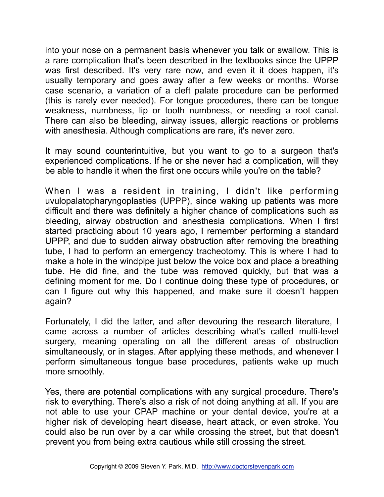into your nose on a permanent basis whenever you talk or swallow. This is a rare complication that's been described in the textbooks since the UPPP was first described. It's very rare now, and even it it does happen, it's usually temporary and goes away after a few weeks or months. Worse case scenario, a variation of a cleft palate procedure can be performed (this is rarely ever needed). For tongue procedures, there can be tongue weakness, numbness, lip or tooth numbness, or needing a root canal. There can also be bleeding, airway issues, allergic reactions or problems with anesthesia. Although complications are rare, it's never zero.

It may sound counterintuitive, but you want to go to a surgeon that's experienced complications. If he or she never had a complication, will they be able to handle it when the first one occurs while you're on the table?

When I was a resident in training, I didn't like performing uvulopalatopharyngoplasties (UPPP), since waking up patients was more difficult and there was definitely a higher chance of complications such as bleeding, airway obstruction and anesthesia complications. When I first started practicing about 10 years ago, I remember performing a standard UPPP, and due to sudden airway obstruction after removing the breathing tube, I had to perform an emergency tracheotomy. This is where I had to make a hole in the windpipe just below the voice box and place a breathing tube. He did fine, and the tube was removed quickly, but that was a defining moment for me. Do I continue doing these type of procedures, or can I figure out why this happened, and make sure it doesn't happen again?

Fortunately, I did the latter, and after devouring the research literature, I came across a number of articles describing what's called multi-level surgery, meaning operating on all the different areas of obstruction simultaneously, or in stages. After applying these methods, and whenever I perform simultaneous tongue base procedures, patients wake up much more smoothly.

Yes, there are potential complications with any surgical procedure. There's risk to everything. There's also a risk of not doing anything at all. If you are not able to use your CPAP machine or your dental device, you're at a higher risk of developing heart disease, heart attack, or even stroke. You could also be run over by a car while crossing the street, but that doesn't prevent you from being extra cautious while still crossing the street.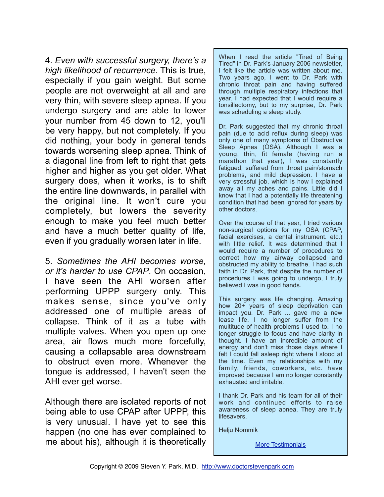4. *Even with successful surgery, there's a high likelihood of recurrence.* This is true, especially if you gain weight. But some people are not overweight at all and are very thin, with severe sleep apnea. If you undergo surgery and are able to lower your number from 45 down to 12, you'll be very happy, but not completely. If you did nothing, your body in general tends towards worsening sleep apnea. Think of a diagonal line from left to right that gets higher and higher as you get older. What surgery does, when it works, is to shift the entire line downwards, in parallel with the original line. It won't cure you completely, but lowers the severity enough to make you feel much better and have a much better quality of life, even if you gradually worsen later in life.

5. *Sometimes the AHI becomes worse, or it's harder to use CPAP*. On occasion, I have seen the AHI worsen after performing UPPP surgery only. This makes sense, since you've only addressed one of multiple areas of collapse. Think of it as a tube with multiple valves. When you open up one area, air flows much more forcefully, causing a collapsable area downstream to obstruct even more. Whenever the tongue is addressed, I haven't seen the AHI ever get worse.

Although there are isolated reports of not being able to use CPAP after UPPP, this is very unusual. I have yet to see this happen (no one has ever complained to me about his), although it is theoretically

When I read the article "Tired of Being Tired" in Dr. Park's January 2006 newsletter, I felt like the article was written about me. Two years ago, I went to Dr. Park with chronic throat pain and having suffered through multiple respiratory infections that year. I had expected that I would require a tonsillectomy, but to my surprise, Dr. Park was scheduling a sleep study.

Dr. Park suggested that my chronic throat pain (due to acid reflux during sleep) was only one of many symptoms of Obstructive Sleep Apnea (OSA). Although I was a young, thin, fit female (having run a marathon that year), I was constantly fatigued, suffered from throat pain/stomach problems, and mild depression. I have a very stressful job, which is how I explained away all my aches and pains. Little did I know that I had a potentially life threatening condition that had been ignored for years by other doctors.

Over the course of that year, I tried various non-surgical options for my OSA (CPAP, facial exercises, a dental instrument. etc.) with little relief. It was determined that I would require a number of procedures to correct how my airway collapsed and obstructed my ability to breathe. I had such faith in Dr. Park, that despite the number of procedures I was going to undergo, I truly believed I was in good hands.

This surgery was life changing. Amazing how 20+ years of sleep deprivation can impact you. Dr. Park ... gave me a new lease life. I no longer suffer from the multitude of health problems I used to. I no longer struggle to focus and have clarity in thought. I have an incredible amount of energy and don't miss those days where I felt I could fall asleep right where I stood at the time. Even my relationships with my family, friends, coworkers, etc. have improved because I am no longer constantly exhausted and irritable.

I thank Dr. Park and his team for all of their work and continued efforts to raise awareness of sleep apnea. They are truly lifesavers.

Helju Nommik

**[More Testimonials](http://doctorstevenpark.com/about/testimonials)**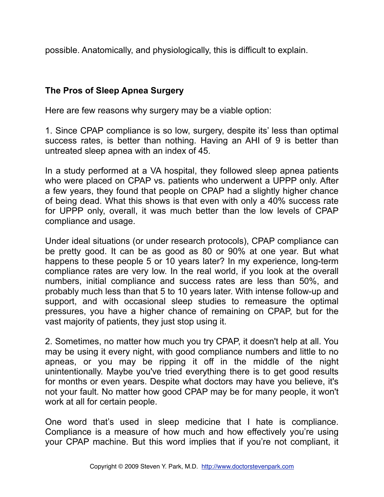possible. Anatomically, and physiologically, this is difficult to explain.

## **The Pros of Sleep Apnea Surgery**

Here are few reasons why surgery may be a viable option:

1. Since CPAP compliance is so low, surgery, despite its' less than optimal success rates, is better than nothing. Having an AHI of 9 is better than untreated sleep apnea with an index of 45.

In a study performed at a VA hospital, they followed sleep apnea patients who were placed on CPAP vs. patients who underwent a UPPP only. After a few years, they found that people on CPAP had a slightly higher chance of being dead. What this shows is that even with only a 40% success rate for UPPP only, overall, it was much better than the low levels of CPAP compliance and usage.

Under ideal situations (or under research protocols), CPAP compliance can be pretty good. It can be as good as 80 or 90% at one year. But what happens to these people 5 or 10 years later? In my experience, long-term compliance rates are very low. In the real world, if you look at the overall numbers, initial compliance and success rates are less than 50%, and probably much less than that 5 to 10 years later. With intense follow-up and support, and with occasional sleep studies to remeasure the optimal pressures, you have a higher chance of remaining on CPAP, but for the vast majority of patients, they just stop using it.

2. Sometimes, no matter how much you try CPAP, it doesn't help at all. You may be using it every night, with good compliance numbers and little to no apneas, or you may be ripping it off in the middle of the night unintentionally. Maybe you've tried everything there is to get good results for months or even years. Despite what doctors may have you believe, it's not your fault. No matter how good CPAP may be for many people, it won't work at all for certain people.

One word that's used in sleep medicine that I hate is compliance. Compliance is a measure of how much and how effectively you're using your CPAP machine. But this word implies that if you're not compliant, it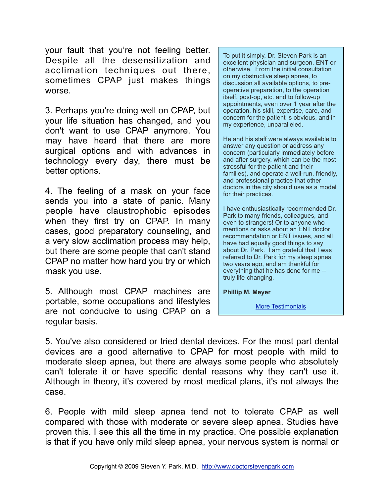your fault that you're not feeling better. Despite all the desensitization and acclimation techniques out there, sometimes CPAP just makes things worse.

3. Perhaps you're doing well on CPAP, but your life situation has changed, and you don't want to use CPAP anymore. You may have heard that there are more surgical options and with advances in technology every day, there must be better options.

4. The feeling of a mask on your face sends you into a state of panic. Many people have claustrophobic episodes when they first try on CPAP. In many cases, good preparatory counseling, and a very slow acclimation process may help, but there are some people that can't stand CPAP no matter how hard you try or which mask you use.

5. Although most CPAP machines are portable, some occupations and lifestyles are not conducive to using CPAP on a regular basis.

To put it simply, Dr. Steven Park is an excellent physician and surgeon, ENT or otherwise. From the initial consultation on my obstructive sleep apnea, to discussion all available options, to preoperative preparation, to the operation itself, post-op, etc. and to follow-up appointments, even over 1 year after the operation, his skill, expertise, care, and concern for the patient is obvious, and in my experience, unparalleled.

He and his staff were always available to answer any question or address any concern (particularly immediately before and after surgery, which can be the most stressful for the patient and their families), and operate a well-run, friendly, and professional practice that other doctors in the city should use as a model for their practices.

I have enthusiastically recommended Dr. Park to many friends, colleagues, and even to strangers! Or to anyone who mentions or asks about an ENT doctor recommendation or ENT issues, and all have had equally good things to say about Dr. Park. I am grateful that I was referred to Dr. Park for my sleep apnea two years ago, and am thankful for everything that he has done for me - truly life-changing.

**Phillip M. Meyer**

[More Testimonials](http://doctorstevenpark.com/about/testimonials)

5. You've also considered or tried dental devices. For the most part dental devices are a good alternative to CPAP for most people with mild to moderate sleep apnea, but there are always some people who absolutely can't tolerate it or have specific dental reasons why they can't use it. Although in theory, it's covered by most medical plans, it's not always the case.

6. People with mild sleep apnea tend not to tolerate CPAP as well compared with those with moderate or severe sleep apnea. Studies have proven this. I see this all the time in my practice. One possible explanation is that if you have only mild sleep apnea, your nervous system is normal or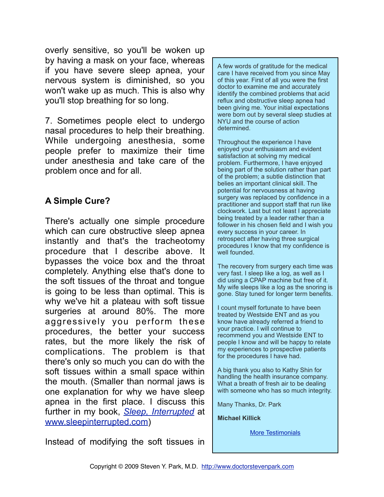overly sensitive, so you'll be woken up by having a mask on your face, whereas if you have severe sleep apnea, your nervous system is diminished, so you won't wake up as much. This is also why you'll stop breathing for so long.

7. Sometimes people elect to undergo nasal procedures to help their breathing. While undergoing anesthesia, some people prefer to maximize their time under anesthesia and take care of the problem once and for all.

## **A Simple Cure?**

There's actually one simple procedure which can cure obstructive sleep apnea instantly and that's the tracheotomy procedure that I describe above. It bypasses the voice box and the throat completely. Anything else that's done to the soft tissues of the throat and tongue is going to be less than optimal. This is why we've hit a plateau with soft tissue surgeries at around 80%. The more aggressively you perform these procedures, the better your success rates, but the more likely the risk of complications. The problem is that there's only so much you can do with the soft tissues within a small space within the mouth. (Smaller than normal jaws is one explanation for why we have sleep apnea in the first place. I discuss this further in my book, *[Sleep, Interrupted](http://www.sleepinterrupted.com)* at [www.sleepinterrupted.com](http://www.sleepinterrupted.com))

Instead of modifying the soft tissues in

A few words of gratitude for the medical care I have received from you since May of this year. First of all you were the first doctor to examine me and accurately identify the combined problems that acid reflux and obstructive sleep apnea had been giving me. Your initial expectations were born out by several sleep studies at NYU and the course of action determined.

Throughout the experience I have enjoyed your enthusiasm and evident satisfaction at solving my medical problem. Furthermore, I have enjoyed being part of the solution rather than part of the problem; a subtle distinction that belies an important clinical skill. The potential for nervousness at having surgery was replaced by confidence in a practitioner and support staff that run like clockwork. Last but not least I appreciate being treated by a leader rather than a follower in his chosen field and I wish you every success in your career. In retrospect after having three surgical procedures I know that my confidence is well founded.

The recovery from surgery each time was very fast. I sleep like a log, as well as I did using a CPAP machine but free of it. My wife sleeps like a log as the snoring is gone. Stay tuned for longer term benefits.

I count myself fortunate to have been treated by Westside ENT and as you know have already referred a friend to your practice. I will continue to recommend you and Westside ENT to people I know and will be happy to relate my experiences to prospective patients for the procedures I have had.

A big thank you also to Kathy Shin for handling the health insurance company. What a breath of fresh air to be dealing with someone who has so much integrity.

Many Thanks, Dr. Park

**Michael Killick**

[More Testimonials](http://doctorstevenpark.com/about/testimonials)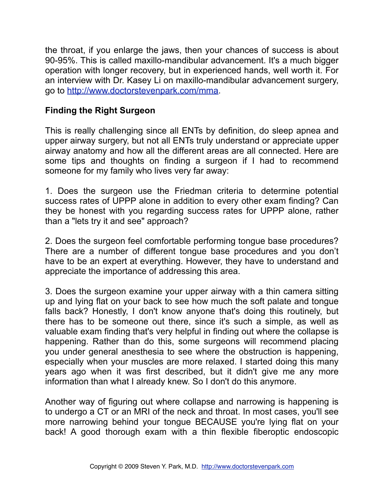the throat, if you enlarge the jaws, then your chances of success is about 90-95%. This is called maxillo-mandibular advancement. It's a much bigger operation with longer recovery, but in experienced hands, well worth it. For an interview with Dr. Kasey Li on maxillo-mandibular advancement surgery, go to<http://www.doctorstevenpark.com/mma>.

## **Finding the Right Surgeon**

This is really challenging since all ENTs by definition, do sleep apnea and upper airway surgery, but not all ENTs truly understand or appreciate upper airway anatomy and how all the different areas are all connected. Here are some tips and thoughts on finding a surgeon if I had to recommend someone for my family who lives very far away:

1. Does the surgeon use the Friedman criteria to determine potential success rates of UPPP alone in addition to every other exam finding? Can they be honest with you regarding success rates for UPPP alone, rather than a "lets try it and see" approach?

2. Does the surgeon feel comfortable performing tongue base procedures? There are a number of different tongue base procedures and you don't have to be an expert at everything. However, they have to understand and appreciate the importance of addressing this area.

3. Does the surgeon examine your upper airway with a thin camera sitting up and lying flat on your back to see how much the soft palate and tongue falls back? Honestly, I don't know anyone that's doing this routinely, but there has to be someone out there, since it's such a simple, as well as valuable exam finding that's very helpful in finding out where the collapse is happening. Rather than do this, some surgeons will recommend placing you under general anesthesia to see where the obstruction is happening, especially when your muscles are more relaxed. I started doing this many years ago when it was first described, but it didn't give me any more information than what I already knew. So I don't do this anymore.

Another way of figuring out where collapse and narrowing is happening is to undergo a CT or an MRI of the neck and throat. In most cases, you'll see more narrowing behind your tongue BECAUSE you're lying flat on your back! A good thorough exam with a thin flexible fiberoptic endoscopic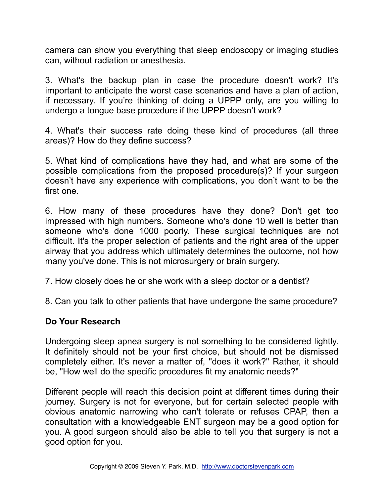camera can show you everything that sleep endoscopy or imaging studies can, without radiation or anesthesia.

3. What's the backup plan in case the procedure doesn't work? It's important to anticipate the worst case scenarios and have a plan of action, if necessary. If you're thinking of doing a UPPP only, are you willing to undergo a tongue base procedure if the UPPP doesn't work?

4. What's their success rate doing these kind of procedures (all three areas)? How do they define success?

5. What kind of complications have they had, and what are some of the possible complications from the proposed procedure(s)? If your surgeon doesn't have any experience with complications, you don't want to be the first one.

6. How many of these procedures have they done? Don't get too impressed with high numbers. Someone who's done 10 well is better than someone who's done 1000 poorly. These surgical techniques are not difficult. It's the proper selection of patients and the right area of the upper airway that you address which ultimately determines the outcome, not how many you've done. This is not microsurgery or brain surgery.

7. How closely does he or she work with a sleep doctor or a dentist?

8. Can you talk to other patients that have undergone the same procedure?

## **Do Your Research**

Undergoing sleep apnea surgery is not something to be considered lightly. It definitely should not be your first choice, but should not be dismissed completely either. It's never a matter of, "does it work?" Rather, it should be, "How well do the specific procedures fit my anatomic needs?"

Different people will reach this decision point at different times during their journey. Surgery is not for everyone, but for certain selected people with obvious anatomic narrowing who can't tolerate or refuses CPAP, then a consultation with a knowledgeable ENT surgeon may be a good option for you. A good surgeon should also be able to tell you that surgery is not a good option for you.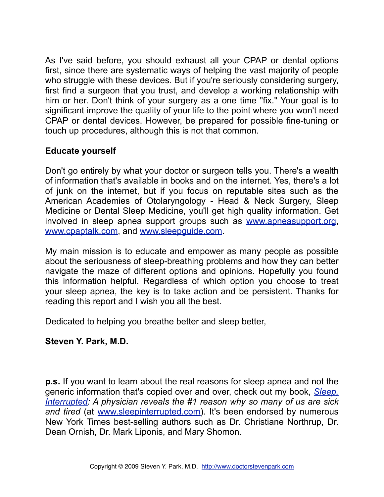As I've said before, you should exhaust all your CPAP or dental options first, since there are systematic ways of helping the vast majority of people who struggle with these devices. But if you're seriously considering surgery, first find a surgeon that you trust, and develop a working relationship with him or her. Don't think of your surgery as a one time "fix." Your goal is to significant improve the quality of your life to the point where you won't need CPAP or dental devices. However, be prepared for possible fine-tuning or touch up procedures, although this is not that common.

## **Educate yourself**

Don't go entirely by what your doctor or surgeon tells you. There's a wealth of information that's available in books and on the internet. Yes, there's a lot of junk on the internet, but if you focus on reputable sites such as the American Academies of Otolaryngology - Head & Neck Surgery, Sleep Medicine or Dental Sleep Medicine, you'll get high quality information. Get involved in sleep apnea support groups such as [www.apneasupport.org](http://www.apneasupport.org), [www.cpaptalk.com,](http://www.cpaptalk.com) and [www.sleepguide.com](http://www.sleepguide.com).

My main mission is to educate and empower as many people as possible about the seriousness of sleep-breathing problems and how they can better navigate the maze of different options and opinions. Hopefully you found this information helpful. Regardless of which option you choose to treat your sleep apnea, the key is to take action and be persistent. Thanks for reading this report and I wish you all the best.

Dedicated to helping you breathe better and sleep better,

### **Steven Y. Park, M.D.**

**p.s.** If you want to learn about the real reasons for sleep apnea and not the generic information that's copied over and over, check out my book, *[Sleep,](http://www.sleepinterrupted.com)  [Interrupted:](http://www.sleepinterrupted.com) A physician reveals the #1 reason why so many of us are sick and tired* (at [www.sleepinterrupted.com\)](http://www.sleepinterrupted.com). It's been endorsed by numerous New York Times best-selling authors such as Dr. Christiane Northrup, Dr. Dean Ornish, Dr. Mark Liponis, and Mary Shomon.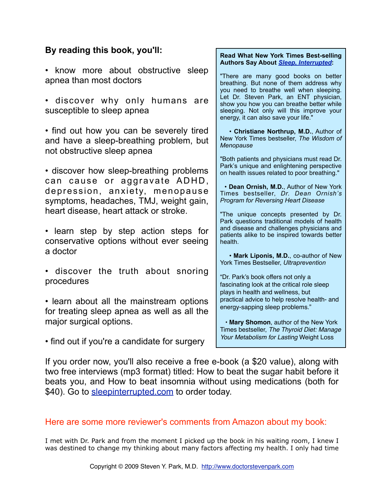#### **By reading this book, you'll:**

- know more about obstructive sleep apnea than most doctors
- discover why only humans are susceptible to sleep apnea

• find out how you can be severely tired and have a sleep-breathing problem, but not obstructive sleep apnea

• discover how sleep-breathing problems can cause or aggravate ADHD, depression, anxiety, menopause symptoms, headaches, TMJ, weight gain, heart disease, heart attack or stroke.

- learn step by step action steps for conservative options without ever seeing a doctor
- discover the truth about snoring procedures
- learn about all the mainstream options for treating sleep apnea as well as all the major surgical options.

**Read What New York Times Best-selling Authors Say About** *[Sleep, Interrupted](http://www.sleepinterrupted.com)***:**

"There are many good books on better breathing. But none of them address why you need to breathe well when sleeping. Let Dr. Steven Park, an ENT physician, show you how you can breathe better while sleeping. Not only will this improve your energy, it can also save your life."

 • **Christiane Northrup, M.D.**, Author of New York Times bestseller, *The Wisdom of Menopause* 

"Both patients and physicians must read Dr. Park's unique and enlightening perspective on health issues related to poor breathing."

 • **Dean Ornish, M.D.**, Author of New York Times bestseller, *Dr. Dean Ornish's Program for Reversing Heart Disease* 

"The unique concepts presented by Dr. Park questions traditional models of health and disease and challenges physicians and patients alike to be inspired towards better health.

 • **Mark Liponis, M.D.**, co-author of New York Times Bestseller, *Ultraprevention*

"Dr. Park's book offers not only a fascinating look at the critical role sleep plays in health and wellness, but practical advice to help resolve health- and energy-sapping sleep problems."

 • **Mary Shomon**, author of the New York Times bestseller, *The Thyroid Diet: Manage Your Metabolism for Lasting* Weight Loss

• find out if you're a candidate for surgery

If you order now, you'll also receive a free e-book (a \$20 value), along with two free interviews (mp3 format) titled: How to beat the sugar habit before it beats you, and How to beat insomnia without using medications (both for \$40). Go to [sleepinterrupted.com](http://www.sleepinterrupted.com) to order today.

#### Here are some more reviewer's comments from Amazon about my book:

I met with Dr. Park and from the moment I picked up the book in his waiting room, I knew I was destined to change my thinking about many factors affecting my health. I only had time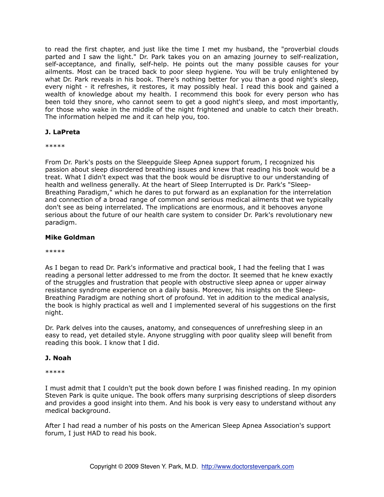to read the first chapter, and just like the time I met my husband, the "proverbial clouds parted and I saw the light." Dr. Park takes you on an amazing journey to self-realization, self-acceptance, and finally, self-help. He points out the many possible causes for your ailments. Most can be traced back to poor sleep hygiene. You will be truly enlightened by what Dr. Park reveals in his book. There's nothing better for you than a good night's sleep, every night - it refreshes, it restores, it may possibly heal. I read this book and gained a wealth of knowledge about my health. I recommend this book for every person who has been told they snore, who cannot seem to get a good night's sleep, and most importantly, for those who wake in the middle of the night frightened and unable to catch their breath. The information helped me and it can help you, too.

#### **J. LaPreta**

\*\*\*\*\*

From Dr. Park's posts on the Sleepguide Sleep Apnea support forum, I recognized his passion about sleep disordered breathing issues and knew that reading his book would be a treat. What I didn't expect was that the book would be disruptive to our understanding of health and wellness generally. At the heart of Sleep Interrupted is Dr. Park's "Sleep-Breathing Paradigm," which he dares to put forward as an explanation for the interrelation and connection of a broad range of common and serious medical ailments that we typically don't see as being interrelated. The implications are enormous, and it behooves anyone serious about the future of our health care system to consider Dr. Park's revolutionary new paradigm.

#### **Mike Goldman**

\*\*\*\*\*

As I began to read Dr. Park's informative and practical book, I had the feeling that I was reading a personal letter addressed to me from the doctor. It seemed that he knew exactly of the struggles and frustration that people with obstructive sleep apnea or upper airway resistance syndrome experience on a daily basis. Moreover, his insights on the Sleep-Breathing Paradigm are nothing short of profound. Yet in addition to the medical analysis, the book is highly practical as well and I implemented several of his suggestions on the first night.

Dr. Park delves into the causes, anatomy, and consequences of unrefreshing sleep in an easy to read, yet detailed style. Anyone struggling with poor quality sleep will benefit from reading this book. I know that I did.

#### **J. Noah**

\*\*\*\*\*

I must admit that I couldn't put the book down before I was finished reading. In my opinion Steven Park is quite unique. The book offers many surprising descriptions of sleep disorders and provides a good insight into them. And his book is very easy to understand without any medical background.

After I had read a number of his posts on the American Sleep Apnea Association's support forum, I just HAD to read his book.